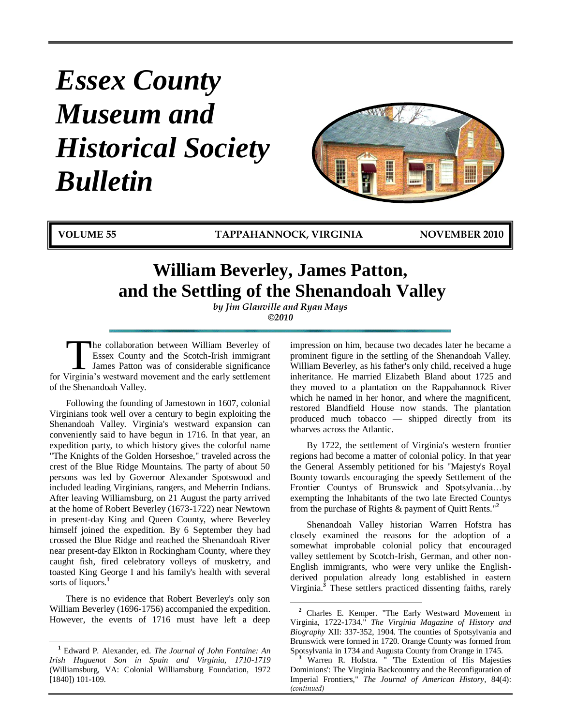# *Essex County Museum and Historical Society Bulletin*



**VOLUME 55 TAPPAHANNOCK, VIRGINIA NOVEMBER 2010**

# **William Beverley, James Patton, and the Settling of the Shenandoah Valley**

*by Jim Glanville and Ryan Mays ©2010*

 $\overline{a}$ 

he collaboration between William Beverley of Essex County and the Scotch-Irish immigrant James Patton was of considerable significance The collaboration between William Beverley of<br>Essex County and the Scotch-Irish immigrant<br>James Patton was of considerable significance<br>for Virginia's westward movement and the early settlement of the Shenandoah Valley.

Following the founding of Jamestown in 1607, colonial Virginians took well over a century to begin exploiting the Shenandoah Valley. Virginia's westward expansion can conveniently said to have begun in 1716. In that year, an expedition party, to which history gives the colorful name "The Knights of the Golden Horseshoe," traveled across the crest of the Blue Ridge Mountains. The party of about 50 persons was led by Governor Alexander Spotswood and included leading Virginians, rangers, and Meherrin Indians. After leaving Williamsburg, on 21 August the party arrived at the home of Robert Beverley (1673-1722) near Newtown in present-day King and Queen County, where Beverley himself joined the expedition. By 6 September they had crossed the Blue Ridge and reached the Shenandoah River near present-day Elkton in Rockingham County, where they caught fish, fired celebratory volleys of musketry, and toasted King George I and his family's health with several sorts of liquors.<sup>1</sup>

There is no evidence that Robert Beverley's only son William Beverley (1696-1756) accompanied the expedition. However, the events of 1716 must have left a deep

 $\overline{a}$ 

impression on him, because two decades later he became a prominent figure in the settling of the Shenandoah Valley. William Beverley, as his father's only child, received a huge inheritance. He married Elizabeth Bland about 1725 and they moved to a plantation on the Rappahannock River which he named in her honor, and where the magnificent, restored Blandfield House now stands. The plantation produced much tobacco — shipped directly from its wharves across the Atlantic.

By 1722, the settlement of Virginia's western frontier regions had become a matter of colonial policy. In that year the General Assembly petitioned for his "Majesty's Royal Bounty towards encouraging the speedy Settlement of the Frontier Countys of Brunswick and Spotsylvania…by exempting the Inhabitants of the two late Erected Countys from the purchase of Rights & payment of Quitt Rents."**<sup>2</sup>**

Shenandoah Valley historian Warren Hofstra has closely examined the reasons for the adoption of a somewhat improbable colonial policy that encouraged valley settlement by Scotch-Irish, German, and other non-English immigrants, who were very unlike the Englishderived population already long established in eastern Virginia.**<sup>3</sup>** These settlers practiced dissenting faiths, rarely

**<sup>1</sup>** Edward P*.* Alexander, ed. *The Journal of John Fontaine: An Irish Huguenot Son in Spain and Virginia, 1710-1719* (Williamsburg, VA: Colonial Williamsburg Foundation, 1972 [1840]) 101-109.

**<sup>2</sup>** Charles E. Kemper. "The Early Westward Movement in Virginia, 1722-1734." *The Virginia Magazine of History and Biography* XII: 337-352, 1904. The counties of Spotsylvania and Brunswick were formed in 1720. Orange County was formed from Spotsylvania in 1734 and Augusta County from Orange in 1745.

Warren R. Hofstra. " The Extention of His Majesties Dominions': The Virginia Backcountry and the Reconfiguration of Imperial Frontiers," *The Journal of American History*, 84(4): *(continued)*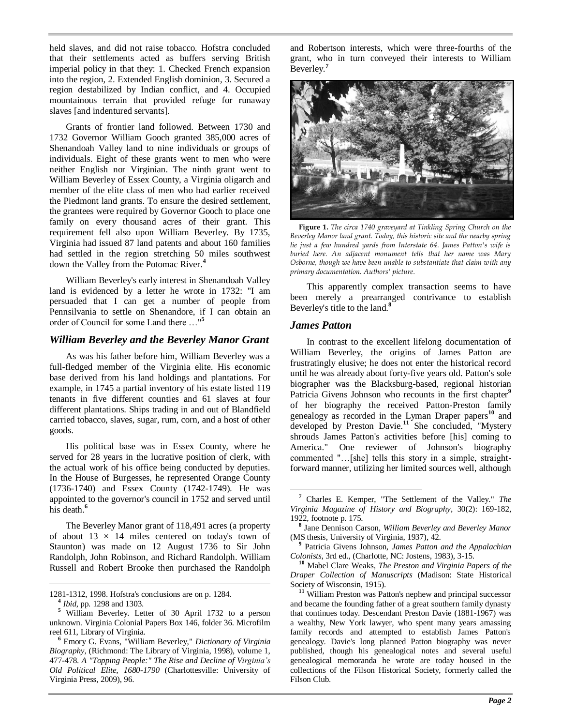held slaves, and did not raise tobacco. Hofstra concluded that their settlements acted as buffers serving British imperial policy in that they: 1. Checked French expansion into the region, 2. Extended English dominion, 3. Secured a region destabilized by Indian conflict, and 4. Occupied mountainous terrain that provided refuge for runaway slaves [and indentured servants].

Grants of frontier land followed. Between 1730 and 1732 Governor William Gooch granted 385,000 acres of Shenandoah Valley land to nine individuals or groups of individuals. Eight of these grants went to men who were neither English nor Virginian. The ninth grant went to William Beverley of Essex County, a Virginia oligarch and member of the elite class of men who had earlier received the Piedmont land grants. To ensure the desired settlement, the grantees were required by Governor Gooch to place one family on every thousand acres of their grant. This requirement fell also upon William Beverley. By 1735, Virginia had issued 87 land patents and about 160 families had settled in the region stretching 50 miles southwest down the Valley from the Potomac River.**<sup>4</sup>**

William Beverley's early interest in Shenandoah Valley land is evidenced by a letter he wrote in 1732: "I am persuaded that I can get a number of people from Pennsilvania to settle on Shenandore, if I can obtain an order of Council for some Land there …"**<sup>5</sup>**

#### *William Beverley and the Beverley Manor Grant*

As was his father before him, William Beverley was a full-fledged member of the Virginia elite. His economic base derived from his land holdings and plantations. For example, in 1745 a partial inventory of his estate listed 119 tenants in five different counties and 61 slaves at four different plantations. Ships trading in and out of Blandfield carried tobacco, slaves, sugar, rum, corn, and a host of other goods.

His political base was in Essex County, where he served for 28 years in the lucrative position of clerk, with the actual work of his office being conducted by deputies. In the House of Burgesses, he represented Orange County (1736-1740) and Essex County (1742-1749). He was appointed to the governor's council in 1752 and served until his death.<sup>6</sup>

The Beverley Manor grant of 118,491 acres (a property of about  $13 \times 14$  miles centered on today's town of Staunton) was made on 12 August 1736 to Sir John Randolph, John Robinson, and Richard Randolph. William Russell and Robert Brooke then purchased the Randolph

1281-1312, 1998. Hofstra's conclusions are on p. 1284.

and Robertson interests, which were three-fourths of the grant, who in turn conveyed their interests to William Beverley.**<sup>7</sup>**



**Figure 1.** *The circa 1740 graveyard at Tinkling Spring Church on the Beverley Manor land grant. Today, this historic site and the nearby spring lie just a few hundred yards from Interstate 64. James Patton's wife is buried here. An adjacent monument tells that her name was Mary Osborne, though we have been unable to substantiate that claim with any primary documentation. Authors' picture.*

This apparently complex transaction seems to have been merely a prearranged contrivance to establish Beverley's title to the land.**<sup>8</sup>**

#### *James Patton*

 $\overline{a}$ 

In contrast to the excellent lifelong documentation of William Beverley, the origins of James Patton are frustratingly elusive; he does not enter the historical record until he was already about forty-five years old. Patton's sole biographer was the Blacksburg-based, regional historian Patricia Givens Johnson who recounts in the first chapter<sup>9</sup> of her biography the received Patton-Preston family genealogy as recorded in the Lyman Draper papers**<sup>10</sup>** and developed by Preston Davie.**<sup>11</sup>** She concluded, "Mystery shrouds James Patton's activities before [his] coming to America." One reviewer of Johnson's biography commented "…[she] tells this story in a simple, straightforward manner, utilizing her limited sources well, although

**<sup>4</sup>** *Ibid*, pp. 1298 and 1303.

**<sup>5</sup>** William Beverley. Letter of 30 April 1732 to a person unknown. Virginia Colonial Papers Box 146, folder 36. Microfilm reel 611, Library of Virginia.

**<sup>6</sup>** Emory G. Evans, "William Beverley," *Dictionary of Virginia Biography,* (Richmond: The Library of Virginia, 1998), volume 1, 477-478. *A "Topping People:" The Rise and Decline of Virginia's Old Political Elite, 1680-1790* (Charlottesville: University of Virginia Press, 2009), 96.

**<sup>7</sup>** Charles E. Kemper, "The Settlement of the Valley." *The Virginia Magazine of History and Biography*, 30(2): 169-182, 1922, footnote p. 175.

**<sup>8</sup>** Jane Dennison Carson, *William Beverley and Beverley Manor* (MS thesis, University of Virginia, 1937), 42.

**<sup>9</sup>** Patricia Givens Johnson, *James Patton and the Appalachian Colonists*, 3rd ed., (Charlotte, NC: Jostens, 1983), 3-15.

**<sup>10</sup>** Mabel Clare Weaks, *The Preston and Virginia Papers of the Draper Collection of Manuscripts* (Madison: State Historical Society of Wisconsin, 1915).

**<sup>11</sup>** William Preston was Patton's nephew and principal successor and became the founding father of a great southern family dynasty that continues today. Descendant Preston Davie (1881-1967) was a wealthy, New York lawyer, who spent many years amassing family records and attempted to establish James Patton's genealogy. Davie's long planned Patton biography was never published, though his genealogical notes and several useful genealogical memoranda he wrote are today housed in the collections of the Filson Historical Society, formerly called the Filson Club.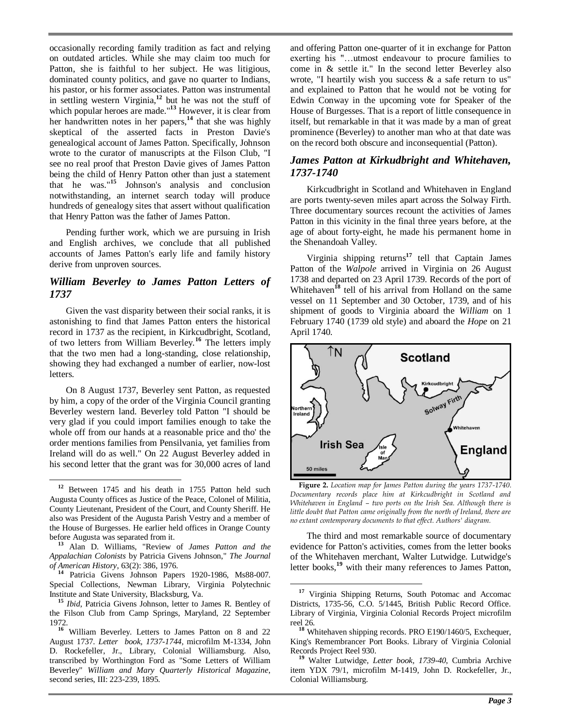occasionally recording family tradition as fact and relying on outdated articles. While she may claim too much for Patton, she is faithful to her subject. He was litigious, dominated county politics, and gave no quarter to Indians, his pastor, or his former associates. Patton was instrumental in settling western Virginia,**<sup>12</sup>** but he was not the stuff of which popular heroes are made."**<sup>13</sup>** However, it is clear from her handwritten notes in her papers,**<sup>14</sup>** that she was highly skeptical of the asserted facts in Preston Davie's genealogical account of James Patton. Specifically, Johnson wrote to the curator of manuscripts at the Filson Club, "I see no real proof that Preston Davie gives of James Patton being the child of Henry Patton other than just a statement that he was."**<sup>15</sup>** Johnson's analysis and conclusion notwithstanding, an internet search today will produce hundreds of genealogy sites that assert without qualification that Henry Patton was the father of James Patton.

Pending further work, which we are pursuing in Irish and English archives, we conclude that all published accounts of James Patton's early life and family history derive from unproven sources.

#### *William Beverley to James Patton Letters of 1737*

Given the vast disparity between their social ranks, it is astonishing to find that James Patton enters the historical record in 1737 as the recipient, in Kirkcudbright, Scotland, of two letters from William Beverley.**<sup>16</sup>** The letters imply that the two men had a long-standing, close relationship, showing they had exchanged a number of earlier, now-lost letters.

On 8 August 1737, Beverley sent Patton, as requested by him, a copy of the order of the Virginia Council granting Beverley western land. Beverley told Patton "I should be very glad if you could import families enough to take the whole off from our hands at a reasonable price and tho' the order mentions families from Pensilvania, yet families from Ireland will do as well." On 22 August Beverley added in his second letter that the grant was for 30,000 acres of land

 $\overline{a}$ 

and offering Patton one-quarter of it in exchange for Patton exerting his "…utmost endeavour to procure families to come in & settle it." In the second letter Beverley also wrote, "I heartily wish you success & a safe return to us" and explained to Patton that he would not be voting for Edwin Conway in the upcoming vote for Speaker of the House of Burgesses. That is a report of little consequence in itself, but remarkable in that it was made by a man of great prominence (Beverley) to another man who at that date was on the record both obscure and inconsequential (Patton).

#### *James Patton at Kirkudbright and Whitehaven, 1737-1740*

Kirkcudbright in Scotland and Whitehaven in England are ports twenty-seven miles apart across the Solway Firth. Three documentary sources recount the activities of James Patton in this vicinity in the final three years before, at the age of about forty-eight, he made his permanent home in the Shenandoah Valley.

Virginia shipping returns**<sup>17</sup>** tell that Captain James Patton of the *Walpole* arrived in Virginia on 26 August 1738 and departed on 23 April 1739. Records of the port of Whitehaven<sup>18</sup> tell of his arrival from Holland on the same vessel on 11 September and 30 October, 1739, and of his shipment of goods to Virginia aboard the *William* on 1 February 1740 (1739 old style) and aboard the *Hope* on 21 April 1740.



**Figure 2.** *Location map for James Patton during the years 1737-1740. Documentary records place him at Kirkcudbright in Scotland and Whitehaven in England – two ports on the Irish Sea. Although there is little doubt that Patton came originally from the north of Ireland, there are no extant contemporary documents to that effect. Authors' diagram.*

The third and most remarkable source of documentary evidence for Patton's activities, comes from the letter books of the Whitehaven merchant, Walter Lutwidge. Lutwidge's letter books,**<sup>19</sup>** with their many references to James Patton,

**<sup>12</sup>** Between 1745 and his death in 1755 Patton held such Augusta County offices as Justice of the Peace, Colonel of Militia, County Lieutenant, President of the Court, and County Sheriff. He also was President of the Augusta Parish Vestry and a member of the House of Burgesses. He earlier held offices in Orange County before Augusta was separated from it.

**<sup>13</sup>** Alan D. Williams, "Review of *James Patton and the Appalachian Colonists* by Patricia Givens Johnson," *The Journal of American History*, 63(2): 386, 1976.

**<sup>14</sup>** Patricia Givens Johnson Papers 1920-1986, Ms88-007. Special Collections, Newman Library, Virginia Polytechnic Institute and State University, Blacksburg, Va.

**<sup>15</sup>** *Ibid*, Patricia Givens Johnson, letter to James R. Bentley of the Filson Club from Camp Springs, Maryland, 22 September 1972.

**<sup>16</sup>** William Beverley. Letters to James Patton on 8 and 22 August 1737. *Letter book, 1737-1744,* microfilm M-1334, John D. Rockefeller, Jr., Library, Colonial Williamsburg. Also, transcribed by Worthington Ford as "Some Letters of William Beverley" *William and Mary Quarterly Historical Magazine*, second series, III: 223-239, 1895.

 $\overline{a}$ **<sup>17</sup>** Virginia Shipping Returns, South Potomac and Accomac Districts, 1735-56, C.O. 5/1445, British Public Record Office. Library of Virginia, Virginia Colonial Records Project microfilm reel 26.

**<sup>18</sup>** Whitehaven shipping records. PRO E190/1460/5, Exchequer, King's Remembrancer Port Books. Library of Virginia Colonial Records Project Reel 930.

**<sup>19</sup>** Walter Lutwidge, *Letter book, 1739-40*, Cumbria Archive item YDX 79/1, microfilm M-1419, John D. Rockefeller, Jr., Colonial Williamsburg.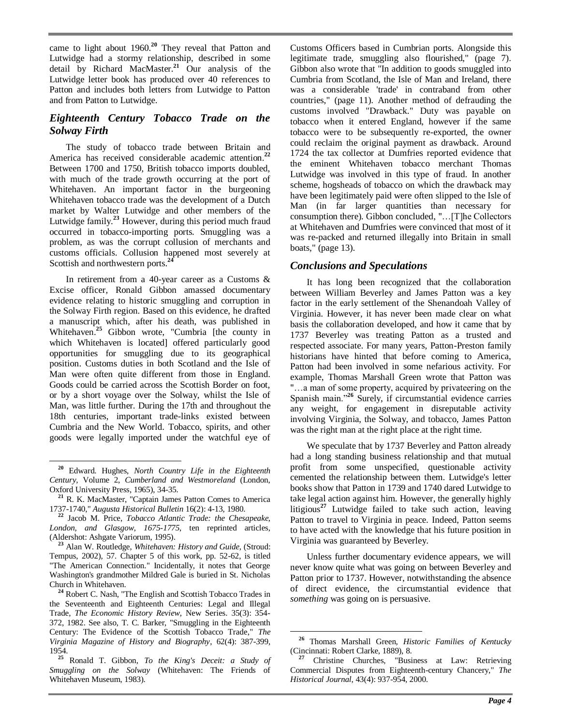came to light about 1960.**<sup>20</sup>** They reveal that Patton and Lutwidge had a stormy relationship, described in some detail by Richard MacMaster.**<sup>21</sup>** Our analysis of the Lutwidge letter book has produced over 40 references to Patton and includes both letters from Lutwidge to Patton and from Patton to Lutwidge.

### *Eighteenth Century Tobacco Trade on the Solway Firth*

The study of tobacco trade between Britain and America has received considerable academic attention.**<sup>22</sup>** Between 1700 and 1750, British tobacco imports doubled, with much of the trade growth occurring at the port of Whitehaven. An important factor in the burgeoning Whitehaven tobacco trade was the development of a Dutch market by Walter Lutwidge and other members of the Lutwidge family.**<sup>23</sup>** However, during this period much fraud occurred in tobacco-importing ports. Smuggling was a problem, as was the corrupt collusion of merchants and customs officials. Collusion happened most severely at Scottish and northwestern ports.<sup>24</sup>

In retirement from a 40-year career as a Customs & Excise officer, Ronald Gibbon amassed documentary evidence relating to historic smuggling and corruption in the Solway Firth region. Based on this evidence, he drafted a manuscript which, after his death, was published in Whitehaven.<sup>25</sup> Gibbon wrote, "Cumbria [the county in which Whitehaven is located] offered particularly good opportunities for smuggling due to its geographical position. Customs duties in both Scotland and the Isle of Man were often quite different from those in England. Goods could be carried across the Scottish Border on foot, or by a short voyage over the Solway, whilst the Isle of Man, was little further. During the 17th and throughout the 18th centuries, important trade-links existed between Cumbria and the New World. Tobacco, spirits, and other goods were legally imported under the watchful eye of

 $\overline{a}$ 

Customs Officers based in Cumbrian ports. Alongside this legitimate trade, smuggling also flourished," (page 7). Gibbon also wrote that "In addition to goods smuggled into Cumbria from Scotland, the Isle of Man and Ireland, there was a considerable 'trade' in contraband from other countries," (page 11). Another method of defrauding the customs involved "Drawback." Duty was payable on tobacco when it entered England, however if the same tobacco were to be subsequently re-exported, the owner could reclaim the original payment as drawback. Around 1724 the tax collector at Dumfries reported evidence that the eminent Whitehaven tobacco merchant Thomas Lutwidge was involved in this type of fraud. In another scheme, hogsheads of tobacco on which the drawback may have been legitimately paid were often slipped to the Isle of Man (in far larger quantities than necessary for consumption there). Gibbon concluded, "…[T]he Collectors at Whitehaven and Dumfries were convinced that most of it was re-packed and returned illegally into Britain in small boats," (page 13).

# *Conclusions and Speculations*

It has long been recognized that the collaboration between William Beverley and James Patton was a key factor in the early settlement of the Shenandoah Valley of Virginia. However, it has never been made clear on what basis the collaboration developed, and how it came that by 1737 Beverley was treating Patton as a trusted and respected associate. For many years, Patton-Preston family historians have hinted that before coming to America, Patton had been involved in some nefarious activity. For example, Thomas Marshall Green wrote that Patton was "…a man of some property, acquired by privateering on the Spanish main."**<sup>26</sup>** Surely, if circumstantial evidence carries any weight, for engagement in disreputable activity involving Virginia, the Solway, and tobacco, James Patton was the right man at the right place at the right time.

We speculate that by 1737 Beverley and Patton already had a long standing business relationship and that mutual profit from some unspecified, questionable activity cemented the relationship between them. Lutwidge's letter books show that Patton in 1739 and 1740 dared Lutwidge to take legal action against him. However, the generally highly litigious**<sup>27</sup>** Lutwidge failed to take such action, leaving Patton to travel to Virginia in peace. Indeed, Patton seems to have acted with the knowledge that his future position in Virginia was guaranteed by Beverley.

Unless further documentary evidence appears, we will never know quite what was going on between Beverley and Patton prior to 1737. However, notwithstanding the absence of direct evidence, the circumstantial evidence that *something* was going on is persuasive.

**<sup>20</sup>** Edward. Hughes, *North Country Life in the Eighteenth Century,* Volume 2, *Cumberland and Westmoreland* (London, Oxford University Press, 1965), 34-35.

**<sup>21</sup>** R. K. MacMaster, "Captain James Patton Comes to America 1737-1740," *Augusta Historical Bulletin* 16(2): 4-13, 1980.

**<sup>22</sup>** Jacob M. Price, *Tobacco Atlantic Trade: the Chesapeake, London, and Glasgow, 1675-1775*, ten reprinted articles, (Aldershot: Ashgate Variorum, 1995).

**<sup>23</sup>** Alan W. Routledge, *Whitehaven: History and Guide,* (Stroud: Tempus, 2002), 57. Chapter 5 of this work, pp. 52-62, is titled "The American Connection." Incidentally, it notes that George Washington's grandmother Mildred Gale is buried in St. Nicholas Church in Whitehaven.

**<sup>24</sup>** Robert C. Nash, "The English and Scottish Tobacco Trades in the Seventeenth and Eighteenth Centuries: Legal and Illegal Trade, *The Economic History Review*, New Series. 35(3): 354- 372, 1982. See also, T. C. Barker, "Smuggling in the Eighteenth Century: The Evidence of the Scottish Tobacco Trade," *The Virginia Magazine of History and Biography*, 62(4): 387-399, 1954.

**<sup>25</sup>** Ronald T. Gibbon, *To the King's Deceit: a Study of Smuggling on the Solway* (Whitehaven: The Friends of Whitehaven Museum, 1983).

 $\overline{a}$ **<sup>26</sup>** Thomas Marshall Green, *Historic Families of Kentucky* (Cincinnati: Robert Clarke, 1889), 8.

**<sup>27</sup>** Christine Churches, "Business at Law: Retrieving Commercial Disputes from Eighteenth-century Chancery," *The Historical Journal*, 43(4): 937-954, 2000.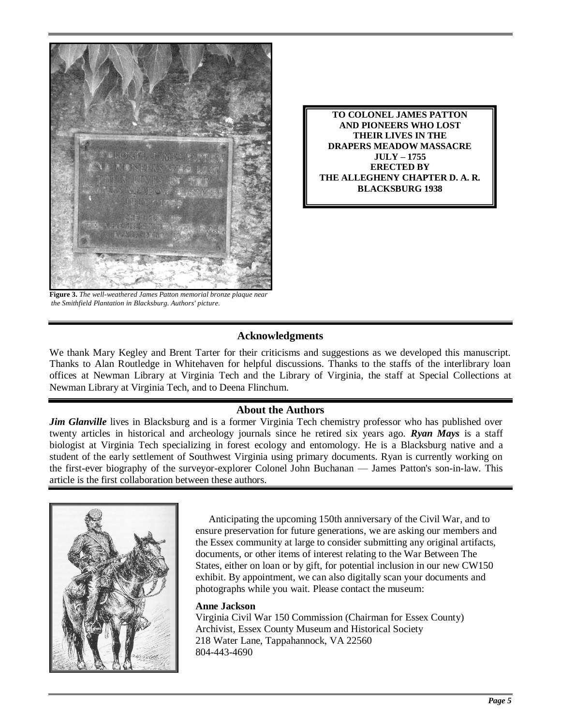

**TO COLONEL JAMES PATTON AND PIONEERS WHO LOST THEIR LIVES IN THE DRAPERS MEADOW MASSACRE JULY – 1755 ERECTED BY THE ALLEGHENY CHAPTER D. A. R. BLACKSBURG 1938**

**Figure 3.** *The well-weathered James Patton memorial bronze plaque near the Smithfield Plantation in Blacksburg. Authors' picture.*

# **Acknowledgments**

We thank Mary Kegley and Brent Tarter for their criticisms and suggestions as we developed this manuscript. Thanks to Alan Routledge in Whitehaven for helpful discussions. Thanks to the staffs of the interlibrary loan offices at Newman Library at Virginia Tech and the Library of Virginia, the staff at Special Collections at Newman Library at Virginia Tech, and to Deena Flinchum.

# **About the Authors**

*Jim Glanville* lives in Blacksburg and is a former Virginia Tech chemistry professor who has published over twenty articles in historical and archeology journals since he retired six years ago. *Ryan Mays* is a staff biologist at Virginia Tech specializing in forest ecology and entomology. He is a Blacksburg native and a student of the early settlement of Southwest Virginia using primary documents. Ryan is currently working on the first-ever biography of the surveyor-explorer Colonel John Buchanan — James Patton's son-in-law. This article is the first collaboration between these authors.



Anticipating the upcoming 150th anniversary of the Civil War, and to ensure preservation for future generations, we are asking our members and the Essex community at large to consider submitting any original artifacts, documents, or other items of interest relating to the War Between The States, either on loan or by gift, for potential inclusion in our new CW150 exhibit. By appointment, we can also digitally scan your documents and photographs while you wait. Please contact the museum:

#### **Anne Jackson**

Virginia Civil War 150 Commission (Chairman for Essex County) Archivist, Essex County Museum and Historical Society 218 Water Lane, Tappahannock, VA 22560 804-443-4690